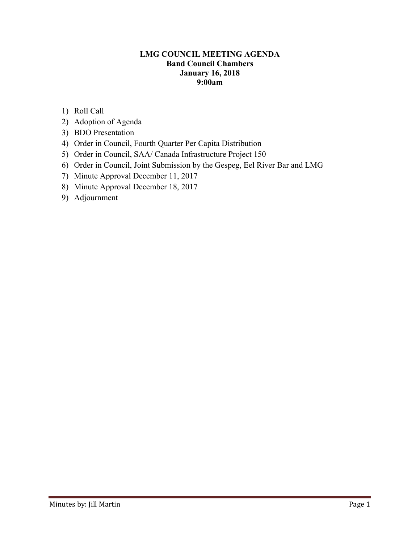### **LMG COUNCIL MEETING AGENDA Band Council Chambers January 16, 2018 9:00am**

- 1) Roll Call
- 2) Adoption of Agenda
- 3) BDO Presentation
- 4) Order in Council, Fourth Quarter Per Capita Distribution
- 5) Order in Council, SAA/ Canada Infrastructure Project 150
- 6) Order in Council, Joint Submission by the Gespeg, Eel River Bar and LMG
- 7) Minute Approval December 11, 2017
- 8) Minute Approval December 18, 2017
- 9) Adjournment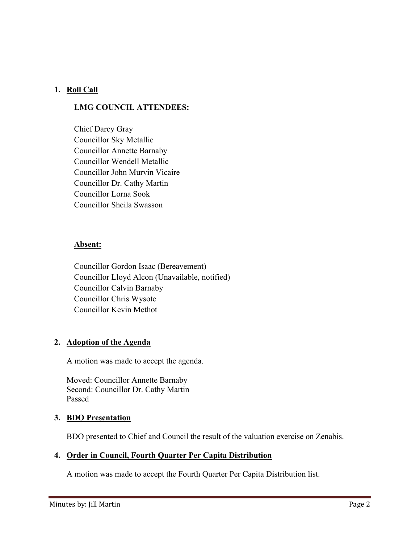## **1. Roll Call**

# **LMG COUNCIL ATTENDEES:**

Chief Darcy Gray Councillor Sky Metallic Councillor Annette Barnaby Councillor Wendell Metallic Councillor John Murvin Vicaire Councillor Dr. Cathy Martin Councillor Lorna Sook Councillor Sheila Swasson

#### **Absent:**

Councillor Gordon Isaac (Bereavement) Councillor Lloyd Alcon (Unavailable, notified) Councillor Calvin Barnaby Councillor Chris Wysote Councillor Kevin Methot

### **2. Adoption of the Agenda**

A motion was made to accept the agenda.

Moved: Councillor Annette Barnaby Second: Councillor Dr. Cathy Martin Passed

### **3. BDO Presentation**

BDO presented to Chief and Council the result of the valuation exercise on Zenabis.

## **4. Order in Council, Fourth Quarter Per Capita Distribution**

A motion was made to accept the Fourth Quarter Per Capita Distribution list.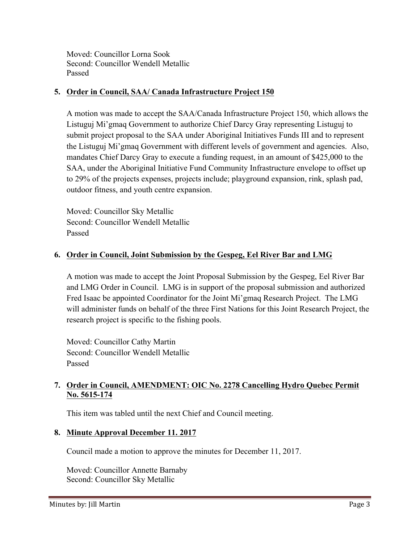Moved: Councillor Lorna Sook Second: Councillor Wendell Metallic Passed

### **5. Order in Council, SAA/ Canada Infrastructure Project 150**

A motion was made to accept the SAA/Canada Infrastructure Project 150, which allows the Listuguj Mi'gmaq Government to authorize Chief Darcy Gray representing Listuguj to submit project proposal to the SAA under Aboriginal Initiatives Funds III and to represent the Listuguj Mi'gmaq Government with different levels of government and agencies. Also, mandates Chief Darcy Gray to execute a funding request, in an amount of \$425,000 to the SAA, under the Aboriginal Initiative Fund Community Infrastructure envelope to offset up to 29% of the projects expenses, projects include; playground expansion, rink, splash pad, outdoor fitness, and youth centre expansion.

Moved: Councillor Sky Metallic Second: Councillor Wendell Metallic Passed

### **6. Order in Council, Joint Submission by the Gespeg, Eel River Bar and LMG**

A motion was made to accept the Joint Proposal Submission by the Gespeg, Eel River Bar and LMG Order in Council. LMG is in support of the proposal submission and authorized Fred Isaac be appointed Coordinator for the Joint Mi'gmaq Research Project. The LMG will administer funds on behalf of the three First Nations for this Joint Research Project, the research project is specific to the fishing pools.

Moved: Councillor Cathy Martin Second: Councillor Wendell Metallic Passed

## **7. Order in Council, AMENDMENT: OIC No. 2278 Cancelling Hydro Quebec Permit No. 5615-174**

This item was tabled until the next Chief and Council meeting.

### **8. Minute Approval December 11. 2017**

Council made a motion to approve the minutes for December 11, 2017.

Moved: Councillor Annette Barnaby Second: Councillor Sky Metallic